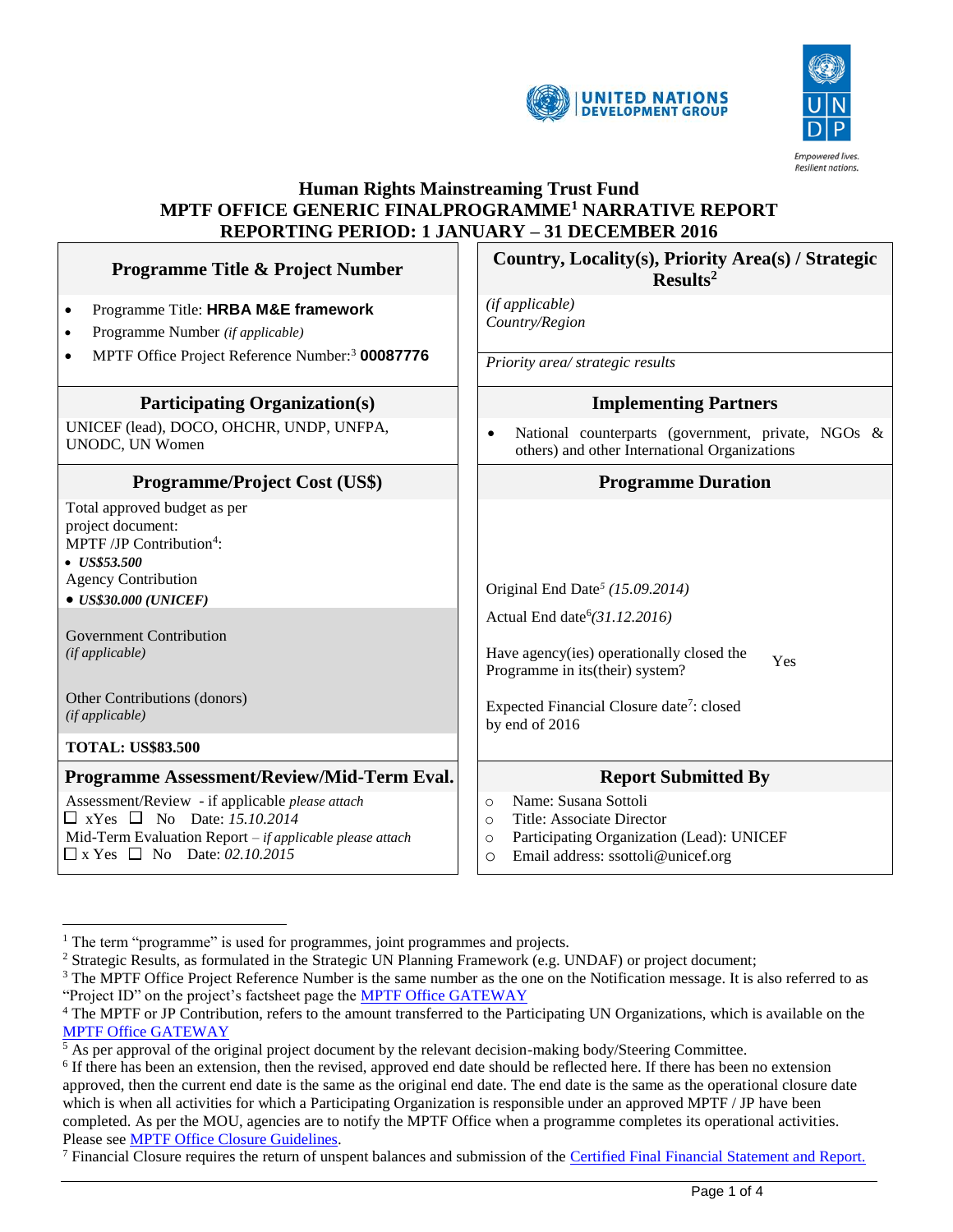



## **Human Rights Mainstreaming Trust Fund MPTF OFFICE GENERIC FINALPROGRAMME<sup>1</sup> NARRATIVE REPORT REPORTING PERIOD: 1 JANUARY – 31 DECEMBER 2016**

| <b>Programme Title &amp; Project Number</b>                                                                                                                                                                                           | Country, Locality(s), Priority Area(s) / Strategic<br>Results <sup>2</sup>                                                                                                        |  |
|---------------------------------------------------------------------------------------------------------------------------------------------------------------------------------------------------------------------------------------|-----------------------------------------------------------------------------------------------------------------------------------------------------------------------------------|--|
| Programme Title: HRBA M&E framework<br>$\bullet$<br>Programme Number (if applicable)<br>$\bullet$                                                                                                                                     | (if applicable)<br>Country/Region                                                                                                                                                 |  |
| MPTF Office Project Reference Number: <sup>3</sup> 00087776                                                                                                                                                                           | Priority area/ strategic results                                                                                                                                                  |  |
| <b>Participating Organization(s)</b>                                                                                                                                                                                                  | <b>Implementing Partners</b>                                                                                                                                                      |  |
| UNICEF (lead), DOCO, OHCHR, UNDP, UNFPA,<br>UNODC, UN Women                                                                                                                                                                           | National counterparts (government, private, NGOs &<br>others) and other International Organizations                                                                               |  |
| <b>Programme/Project Cost (US\$)</b>                                                                                                                                                                                                  | <b>Programme Duration</b>                                                                                                                                                         |  |
| Total approved budget as per<br>project document:<br>MPTF /JP Contribution <sup>4</sup> :<br>$\bullet$ US\$53.500<br><b>Agency Contribution</b><br>$\bullet$ US\$30.000 (UNICEF)<br><b>Government Contribution</b><br>(if applicable) | Original End Date <sup>5</sup> (15.09.2014)<br>Actual End date <sup>6</sup> (31.12.2016)<br>Have agency(ies) operationally closed the<br>Yes<br>Programme in its(their) system?   |  |
| Other Contributions (donors)<br>(if applicable)                                                                                                                                                                                       | Expected Financial Closure date <sup>7</sup> : closed<br>by end of 2016                                                                                                           |  |
| <b>TOTAL: US\$83.500</b>                                                                                                                                                                                                              |                                                                                                                                                                                   |  |
| Programme Assessment/Review/Mid-Term Eval.                                                                                                                                                                                            | <b>Report Submitted By</b>                                                                                                                                                        |  |
| Assessment/Review - if applicable please attach<br>$\Box$ xYes $\Box$ No Date: 15.10.2014<br>Mid-Term Evaluation Report - if applicable please attach<br>$\Box$ x Yes $\Box$ No Date: 02.10.2015                                      | Name: Susana Sottoli<br>$\circ$<br>Title: Associate Director<br>$\Omega$<br>Participating Organization (Lead): UNICEF<br>$\circ$<br>Email address: ssottoli@unicef.org<br>$\circ$ |  |

 $\overline{a}$ 

 $1$  The term "programme" is used for programmes, joint programmes and projects.

<sup>2</sup> Strategic Results, as formulated in the Strategic UN Planning Framework (e.g. UNDAF) or project document;

 $3$  The MPTF Office Project Reference Number is the same number as the one on the Notification message. It is also referred to as "Project ID" on the project's factsheet page the [MPTF Office GATEWAY](http://mdtf.undp.org/)

<sup>4</sup> The MPTF or JP Contribution, refers to the amount transferred to the Participating UN Organizations, which is available on the [MPTF Office GATEWAY](http://mdtf.undp.org/)

 $<sup>5</sup>$  As per approval of the original project document by the relevant decision-making body/Steering Committee.</sup>

<sup>&</sup>lt;sup>6</sup> If there has been an extension, then the revised, approved end date should be reflected here. If there has been no extension approved, then the current end date is the same as the original end date. The end date is the same as the operational closure date which is when all activities for which a Participating Organization is responsible under an approved MPTF / JP have been completed. As per the MOU, agencies are to notify the MPTF Office when a programme completes its operational activities. Please se[e MPTF Office Closure Guidelines.](http://mdtf.undp.org/document/download/5449)

<sup>&</sup>lt;sup>7</sup> Financial Closure requires the return of unspent balances and submission of the [Certified Final Financial Statement and Report.](http://mdtf.undp.org/document/download/5388)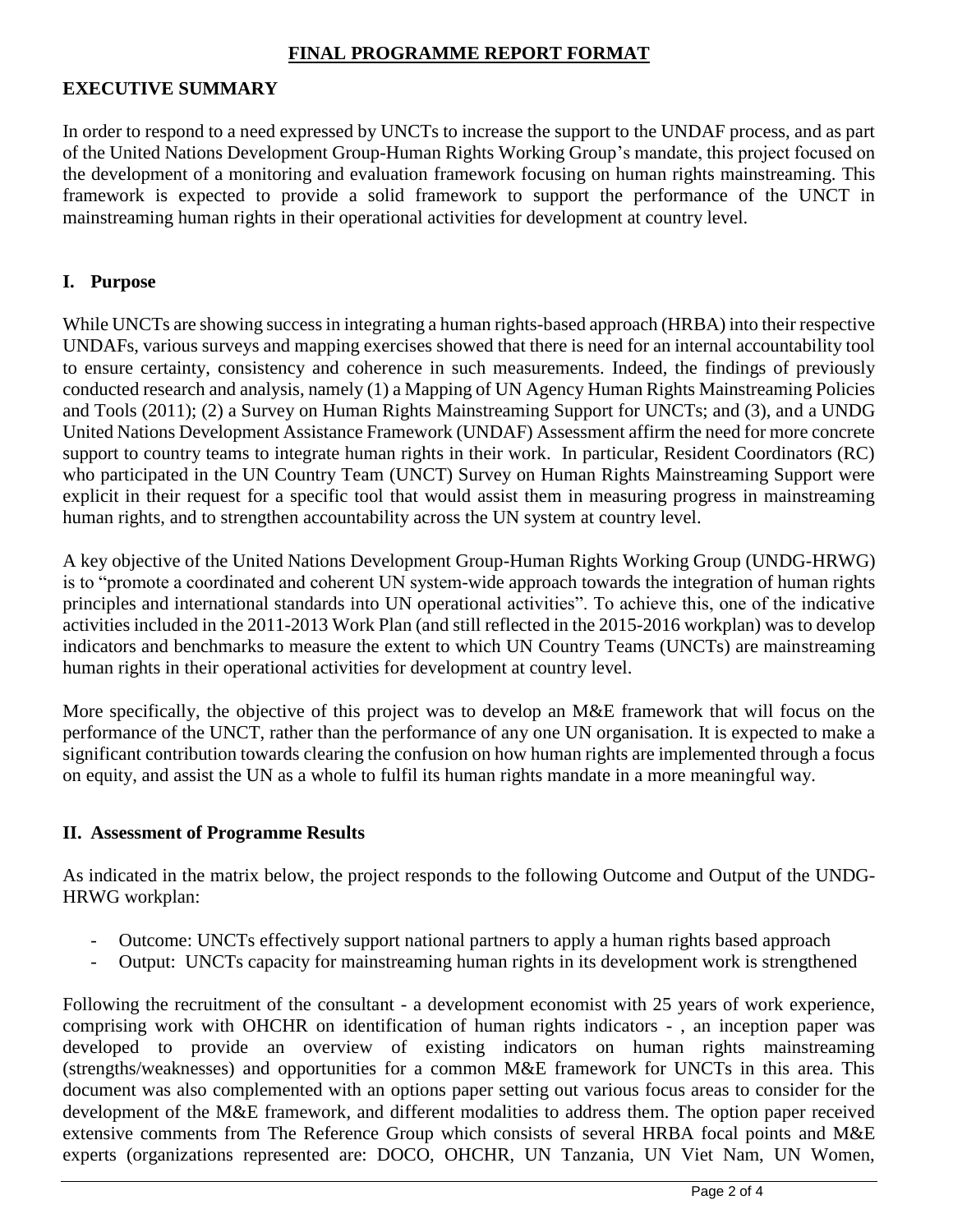### **FINAL PROGRAMME REPORT FORMAT**

### **EXECUTIVE SUMMARY**

In order to respond to a need expressed by UNCTs to increase the support to the UNDAF process, and as part of the United Nations Development Group-Human Rights Working Group's mandate, this project focused on the development of a monitoring and evaluation framework focusing on human rights mainstreaming. This framework is expected to provide a solid framework to support the performance of the UNCT in mainstreaming human rights in their operational activities for development at country level.

### **I. Purpose**

While UNCTs are showing success in integrating a human rights-based approach (HRBA) into their respective UNDAFs, various surveys and mapping exercises showed that there is need for an internal accountability tool to ensure certainty, consistency and coherence in such measurements. Indeed, the findings of previously conducted research and analysis, namely (1) a Mapping of UN Agency Human Rights Mainstreaming Policies and Tools (2011); (2) a Survey on Human Rights Mainstreaming Support for UNCTs; and (3), and a UNDG United Nations Development Assistance Framework (UNDAF) Assessment affirm the need for more concrete support to country teams to integrate human rights in their work. In particular, Resident Coordinators (RC) who participated in the UN Country Team (UNCT) Survey on Human Rights Mainstreaming Support were explicit in their request for a specific tool that would assist them in measuring progress in mainstreaming human rights, and to strengthen accountability across the UN system at country level.

A key objective of the United Nations Development Group-Human Rights Working Group (UNDG-HRWG) is to "promote a coordinated and coherent UN system-wide approach towards the integration of human rights principles and international standards into UN operational activities". To achieve this, one of the indicative activities included in the 2011-2013 Work Plan (and still reflected in the 2015-2016 workplan) was to develop indicators and benchmarks to measure the extent to which UN Country Teams (UNCTs) are mainstreaming human rights in their operational activities for development at country level.

More specifically, the objective of this project was to develop an M&E framework that will focus on the performance of the UNCT, rather than the performance of any one UN organisation. It is expected to make a significant contribution towards clearing the confusion on how human rights are implemented through a focus on equity, and assist the UN as a whole to fulfil its human rights mandate in a more meaningful way.

#### **II. Assessment of Programme Results**

As indicated in the matrix below, the project responds to the following Outcome and Output of the UNDG-HRWG workplan:

- Outcome: UNCTs effectively support national partners to apply a human rights based approach
- Output: UNCTs capacity for mainstreaming human rights in its development work is strengthened

Following the recruitment of the consultant - a development economist with 25 years of work experience, comprising work with OHCHR on identification of human rights indicators - , an inception paper was developed to provide an overview of existing indicators on human rights mainstreaming (strengths/weaknesses) and opportunities for a common M&E framework for UNCTs in this area. This document was also complemented with an options paper setting out various focus areas to consider for the development of the M&E framework, and different modalities to address them. The option paper received extensive comments from The Reference Group which consists of several HRBA focal points and M&E experts (organizations represented are: DOCO, OHCHR, UN Tanzania, UN Viet Nam, UN Women,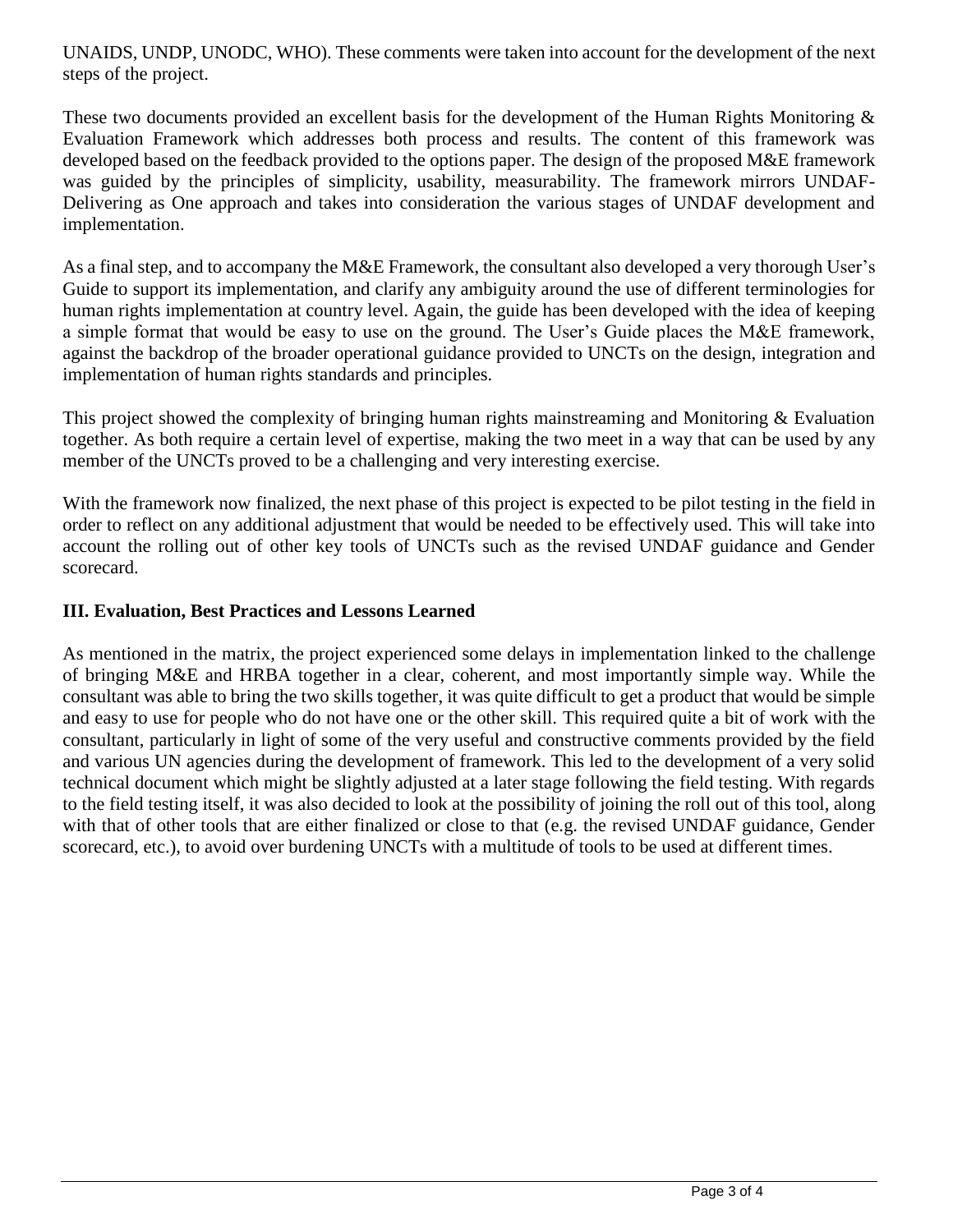UNAIDS, UNDP, UNODC, WHO). These comments were taken into account for the development of the next steps of the project.

These two documents provided an excellent basis for the development of the Human Rights Monitoring & Evaluation Framework which addresses both process and results. The content of this framework was developed based on the feedback provided to the options paper. The design of the proposed M&E framework was guided by the principles of simplicity, usability, measurability. The framework mirrors UNDAF-Delivering as One approach and takes into consideration the various stages of UNDAF development and implementation.

As a final step, and to accompany the M&E Framework, the consultant also developed a very thorough User's Guide to support its implementation, and clarify any ambiguity around the use of different terminologies for human rights implementation at country level. Again, the guide has been developed with the idea of keeping a simple format that would be easy to use on the ground. The User's Guide places the M&E framework, against the backdrop of the broader operational guidance provided to UNCTs on the design, integration and implementation of human rights standards and principles.

This project showed the complexity of bringing human rights mainstreaming and Monitoring & Evaluation together. As both require a certain level of expertise, making the two meet in a way that can be used by any member of the UNCTs proved to be a challenging and very interesting exercise.

With the framework now finalized, the next phase of this project is expected to be pilot testing in the field in order to reflect on any additional adjustment that would be needed to be effectively used. This will take into account the rolling out of other key tools of UNCTs such as the revised UNDAF guidance and Gender scorecard.

# **III. Evaluation, Best Practices and Lessons Learned**

As mentioned in the matrix, the project experienced some delays in implementation linked to the challenge of bringing M&E and HRBA together in a clear, coherent, and most importantly simple way. While the consultant was able to bring the two skills together, it was quite difficult to get a product that would be simple and easy to use for people who do not have one or the other skill. This required quite a bit of work with the consultant, particularly in light of some of the very useful and constructive comments provided by the field and various UN agencies during the development of framework. This led to the development of a very solid technical document which might be slightly adjusted at a later stage following the field testing. With regards to the field testing itself, it was also decided to look at the possibility of joining the roll out of this tool, along with that of other tools that are either finalized or close to that (e.g. the revised UNDAF guidance, Gender scorecard, etc.), to avoid over burdening UNCTs with a multitude of tools to be used at different times.